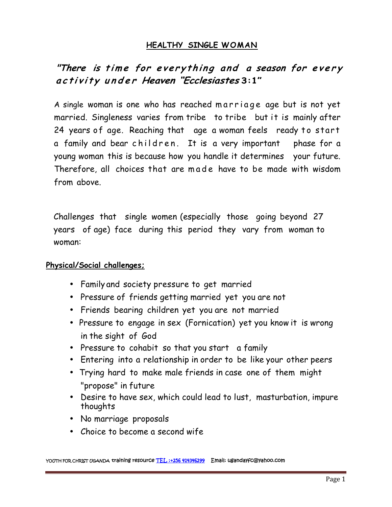## **HEALTHY SINGLE WOMAN**

# "There is time for everything and a season for every activity under Heaven "Ecclesiastes 3:1"

"There is time for everything and a season for every<br>activity under Heaven "Ecclesiastes 3:1"<br>A single woman is one who has reached m arriage age but is not yet<br>married. Singleness varies from tribe to tribe but it is main married. Singleness varies from tribe to tribe but it is mainly after activity under Heaven Ecclesiastes 3:1<br>
A single woman is one who has reached marriage age but is not yet<br>
married. Singleness varies from tribe to tribe but it is mainly after<br>
24 years of age. Reaching that age a woman f A single woman is one who has reached marriage age but is not yet<br>married. Singleness varies from tribe to tribe but it is mainly after<br>24 years of age. Reaching that age a woman feels ready to start<br>a family and bear chil Therefore, all choices that are made have to be made with the formulation of age. Reaching that age a woman feels ready to start<br>a family and bear children. It is a very important phase for a<br>young woman this is because ho from above.

Challenges that single women (especially those going beyond 27 years of age) face during this period they vary from woman to woman:

#### **Physical/Social challenges;**

- Family and society pressure to get married
- Pressure of friends getting married yet you are not
- Friends bearing children yet you are not married
- Pressure to engage in sex (Fornication) yet you know it is wrong in the sight of God
- Pressure to cohabit so that you start a family
- Entering into a relationship in order to be like your other peers
- Trying hard to make male friends in case one of them might "propose" in future
- Desire to have sex, which could lead to lust, masturbation, impure thoughts
- No marriage proposals
- Choice to become a second wife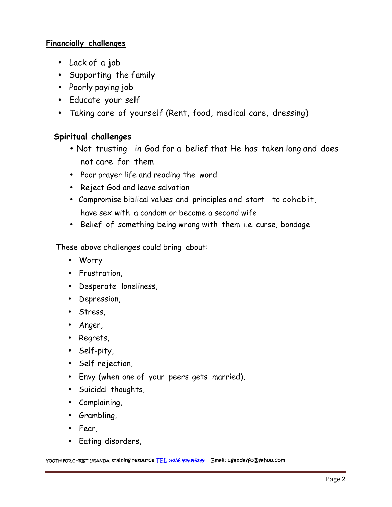### **Financially challenges**

- Lack of a job
- Supporting the family
- Poorly paying job
- Educate your self
- Taking care of yourself (Rent, food, medical care, dressing)

# **Spiritual challenges**

- Not trusting in God for a belief that He has taken long and does not care for them
- Poor prayer life and reading the word
- Reject God and leave salvation
- Compromise biblical values and principles and start to cohabit, have sex with a condom or become a second wife
- Belief of something being wrong with them i.e. curse, bondage

These above challenges could bring about:

- Worry
- Frustration,
- Desperate loneliness,
- Depression,
- Stress,
- Anger,
- Regrets,
- Self-pity,
- Self-rejection,
- Envy (when one of your peers gets married),
- Suicidal thoughts,
- Complaining,
- Grambling,
- Fear,
- Eating disorders,

**YOUTH FOR CHRIST UGANDA training resource TEL :+256 414346299 Email: ugandayfc@yahoo.com**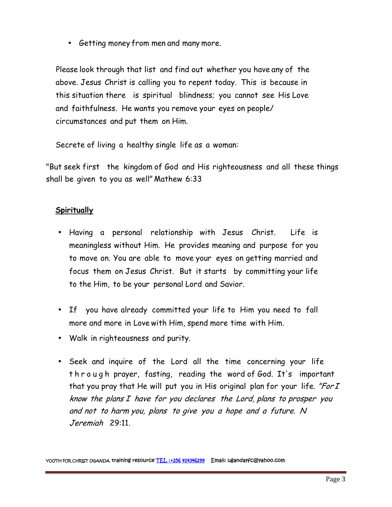• Getting money from men and many more.

Please look through that list and find out whether you have any of the above. Jesus Christ is calling you to repent today. This is because in this situation there is spiritual blindness; you cannot see His Love and faithfulness. He wants you remove your eyes on people/ circumstances and put them on Him.

Secrete of living a healthy single life as a woman:

"But seek first the kingdom of God and His righteousness and all these things shall be given to you as well" Mathew 6:33

### **Spiritually**

- Having a personal relationship with Jesus Christ. Life is meaningless without Him. He provides meaning and purpose for you to move on. You are able to move your eyes on getting married and focus them on Jesus Christ. But it starts by committing your life to the Him, to be your personal Lord and Savior.
- If you have already committed your life to Him you need to fall more and more in Love with Him, spend more time with Him.
- Walk in righteousness and purity.
- Seek and inquire of the Lord all the time concerning your life t h r o u g h prayer, fasting, reading the word of God. It's important that you pray that He will put you in His original plan for your life. *"ForI know the plans I have for you declares the Lord, plans to prosper you and not to harm you, plans to give you <sup>a</sup> hope and <sup>a</sup> future. N Jeremiah* 29:11.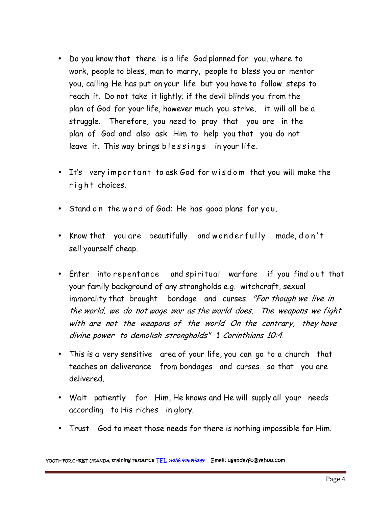- Do you know that there is a life God planned for you, where to work, people to bless, man to marry, people to bless you or mentor you, calling He has put on your life but you have to follow steps to reach it. Do not take it lightly; if the devil blinds you from the plan of God for your life, however much you strive, it will all be a struggle. Therefore, you need to pray that you are in the plan of God and also ask Him to help you that you do not plan of God for your life, however much you strive, it<br>struggle. Therefore, you need to pray that you are<br>plan of God and also ask Him to help you that you<br>leave it. This way brings blessings in your life. leave it. This way brings blessings in your life.
- It's very impor  $t$  ant to ask God for w is dom that you will make the right choices.
- Stand on the word of God; He has good plans for you.
- % Stand on the word of God; He has good plans for you.<br>• Know that you are beautifully and w onderfully made, d o n't<br>sell yourself cheap. sell yourself cheap.
- Now that you are beautifully and wonderfully made, don't<br>Sellyourself cheap.<br>Finter into repentance and spiritual warfare if you find out that<br>your family background of any strongholds e.g. witchcraft, sexual your family background of any strongholds e.g. witchcraft, sexual immorality that brought bondage and curses. *"For though we live in the world, we do not wage war as the world does. The weapons we fight with are not the weapons of the world On the contrary, they have divine power to demolish strongholds"* 1 *Corinthians 10:4.*
- This is a very sensitive area of your life, you can go to a church that teaches on deliverance from bondages and curses so that you are delivered.
- Wait patiently for Him, He knows and He will supply all your needs according to His riches in glory.
- Trust God to meet those needs for there is nothing impossible for Him.

**YOUTH FOR CHRIST UGANDA training resource TEL :+256 414346299 Email: ugandayfc@yahoo.com**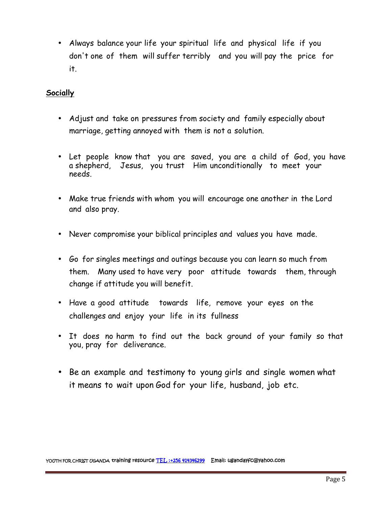Always balance your life your spiritual life and physical life if you don't one of them will suffer terribly and you will pay the price for it.

#### **Socially**

- Adjust and take on pressures from society and family especially about marriage, getting annoyed with them is not a solution.
- Let people know that you are saved, you are a child of God, you have a shepherd, Jesus, you trust Him unconditionally to meet your needs.
- Make true friends with whom you will encourage one another in the Lord and also pray.
- Never compromise your biblical principles and values you have made.
- Go for singles meetings and outings because you can learn so much from them. Many used to have very poor attitude towards them, through change if attitude you will benefit.
- Have a good attitude towards life, remove your eyes on the challenges and enjoy your life in its fullness
- It does no harm to find out the back ground of your family so that you, pray for deliverance.
- Be an example and testimony to young girls and single women what it means to wait upon God for your life, husband, job etc.